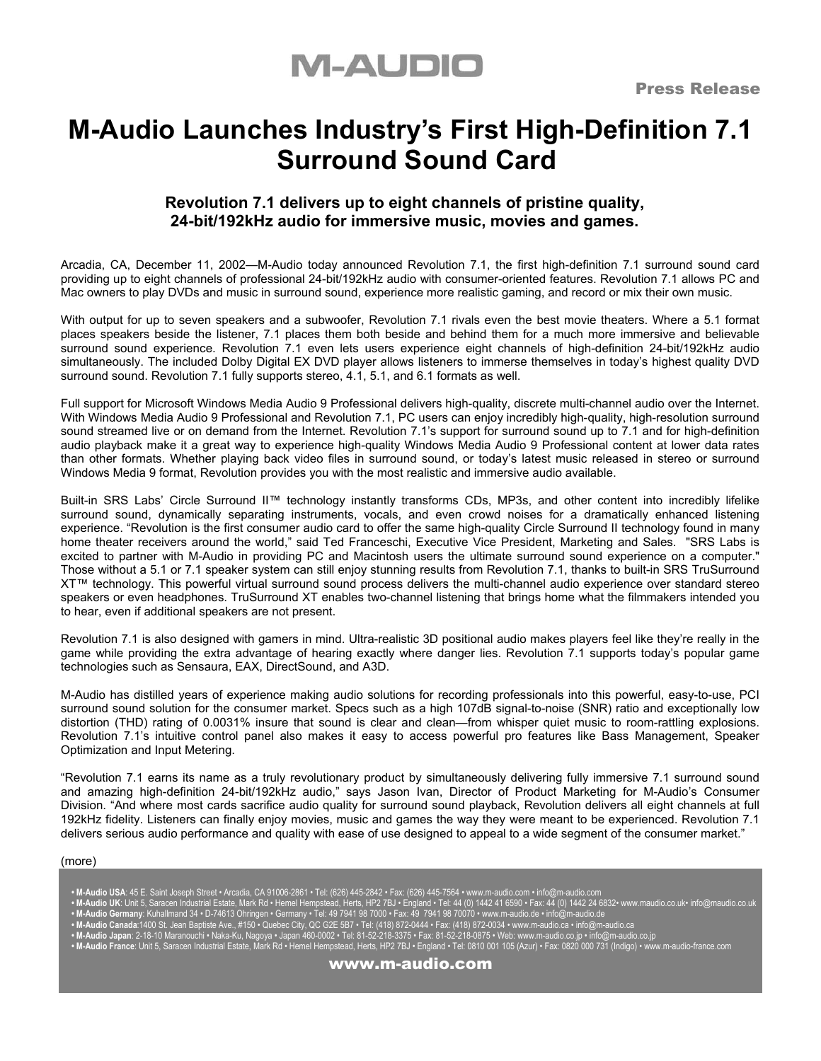## **M-AUDIO**

### **M-Audio Launches Industry's First High-Definition 7.1 Surround Sound Card**

### **Revolution 7.1 delivers up to eight channels of pristine quality, 24-bit/192kHz audio for immersive music, movies and games.**

Arcadia, CA, December 11, 2002—M-Audio today announced Revolution 7.1, the first high-definition 7.1 surround sound card providing up to eight channels of professional 24-bit/192kHz audio with consumer-oriented features. Revolution 7.1 allows PC and Mac owners to play DVDs and music in surround sound, experience more realistic gaming, and record or mix their own music.

With output for up to seven speakers and a subwoofer, Revolution 7.1 rivals even the best movie theaters. Where a 5.1 format places speakers beside the listener, 7.1 places them both beside and behind them for a much more immersive and believable surround sound experience. Revolution 7.1 even lets users experience eight channels of high-definition 24-bit/192kHz audio simultaneously. The included Dolby Digital EX DVD player allows listeners to immerse themselves in today's highest quality DVD surround sound. Revolution 7.1 fully supports stereo, 4.1, 5.1, and 6.1 formats as well.

Full support for Microsoft Windows Media Audio 9 Professional delivers high-quality, discrete multi-channel audio over the Internet. With Windows Media Audio 9 Professional and Revolution 7.1, PC users can enjoy incredibly high-quality, high-resolution surround sound streamed live or on demand from the Internet. Revolution 7.1's support for surround sound up to 7.1 and for high-definition audio playback make it a great way to experience high-quality Windows Media Audio 9 Professional content at lower data rates than other formats. Whether playing back video files in surround sound, or today's latest music released in stereo or surround Windows Media 9 format, Revolution provides you with the most realistic and immersive audio available.

Built-in SRS Labs' Circle Surround II™ technology instantly transforms CDs, MP3s, and other content into incredibly lifelike surround sound, dynamically separating instruments, vocals, and even crowd noises for a dramatically enhanced listening experience. "Revolution is the first consumer audio card to offer the same high-quality Circle Surround II technology found in many home theater receivers around the world," said Ted Franceschi, Executive Vice President, Marketing and Sales. "SRS Labs is excited to partner with M-Audio in providing PC and Macintosh users the ultimate surround sound experience on a computer." Those without a 5.1 or 7.1 speaker system can still enjoy stunning results from Revolution 7.1, thanks to built-in SRS TruSurround XT™ technology. This powerful virtual surround sound process delivers the multi-channel audio experience over standard stereo speakers or even headphones. TruSurround XT enables two-channel listening that brings home what the filmmakers intended you to hear, even if additional speakers are not present.

Revolution 7.1 is also designed with gamers in mind. Ultra-realistic 3D positional audio makes players feel like they're really in the game while providing the extra advantage of hearing exactly where danger lies. Revolution 7.1 supports today's popular game technologies such as Sensaura, EAX, DirectSound, and A3D.

M-Audio has distilled years of experience making audio solutions for recording professionals into this powerful, easy-to-use, PCI surround sound solution for the consumer market. Specs such as a high 107dB signal-to-noise (SNR) ratio and exceptionally low distortion (THD) rating of 0.0031% insure that sound is clear and clean—from whisper quiet music to room-rattling explosions. Revolution 7.1's intuitive control panel also makes it easy to access powerful pro features like Bass Management, Speaker Optimization and Input Metering.

"Revolution 7.1 earns its name as a truly revolutionary product by simultaneously delivering fully immersive 7.1 surround sound and amazing high-definition 24-bit/192kHz audio," says Jason Ivan, Director of Product Marketing for M-Audio's Consumer Division. "And where most cards sacrifice audio quality for surround sound playback, Revolution delivers all eight channels at full 192kHz fidelity. Listeners can finally enjoy movies, music and games the way they were meant to be experienced. Revolution 7.1 delivers serious audio performance and quality with ease of use designed to appeal to a wide segment of the consumer market."

#### (more)

- **M-Audio USA**: 45 E. Saint Joseph Street Arcadia, CA 91006-2861 Tel: (626) 445-2842 Fax: (626) 445-7564 www.m-audio.com info@m-audio.com
- **M-Audio UK**: Unit 5, Saracen Industrial Estate, Mark Rd Hemel Hempstead, Herts, HP2 7BJ England Tel: 44 (0) 1442 41 6590 Fax: 44 (0) 1442 24 6832• www.maudio.co.uk• info@maudio.co.uk  **• M-Audio Germany**: Kuhallmand 34 • D-74613 Ohringen • Germany • Tel: 49 7941 98 7000 • Fax: 49 7941 98 70070 • www.m-audio.de • info@m-audio.de
	-
- M-Audio Canada:1400 St. Jean Baptiste Ave., #150 Quebec City, QC G2E 5B7 Tel: (418) 872-0444 Fax: (418) 872-0034 www.m-audio.ca info@m-audio.ca<br>• M-Audio Japan: 2-18-10 Maranouchi Naka-Ku, Nagoya Japan 460
- **M-Audio France**: Unit 5, Saracen Industrial Estate, Mark Rd Hemel Hempstead, Herts, HP2 7BJ England Tel: 0810 001 105 (Azur) Fax: 0820 000 731 (Indigo) www.m-audio-france.com

www.m-audio.com